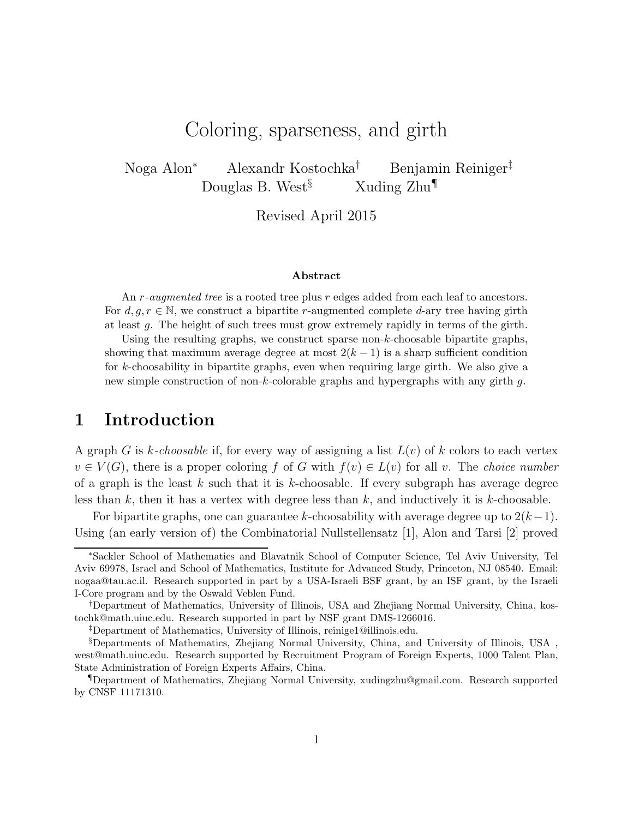# Coloring, sparseness, and girth

Noga Alon<sup>∗</sup> Alexandr Kostochka† Benjamin Reiniger‡ Douglas B. West<sup>§</sup> Xuding  $\text{Zhu}^{\P}$ 

Revised April 2015

#### Abstract

An *r*-augmented tree is a rooted tree plus *r* edges added from each leaf to ancestors. For  $d, g, r \in \mathbb{N}$ , we construct a bipartite r-augmented complete d-ary tree having girth at least g. The height of such trees must grow extremely rapidly in terms of the girth.

Using the resulting graphs, we construct sparse non-k-choosable bipartite graphs, showing that maximum average degree at most  $2(k-1)$  is a sharp sufficient condition for k-choosability in bipartite graphs, even when requiring large girth. We also give a new simple construction of non-k-colorable graphs and hypergraphs with any girth g.

### 1 Introduction

A graph G is k-choosable if, for every way of assigning a list  $L(v)$  of k colors to each vertex  $v \in V(G)$ , there is a proper coloring f of G with  $f(v) \in L(v)$  for all v. The choice number of a graph is the least k such that it is k-choosable. If every subgraph has average degree less than  $k$ , then it has a vertex with degree less than  $k$ , and inductively it is  $k$ -choosable.

For bipartite graphs, one can guarantee k-choosability with average degree up to  $2(k-1)$ . Using (an early version of) the Combinatorial Nullstellensatz [1], Alon and Tarsi [2] proved

<sup>∗</sup>Sackler School of Mathematics and Blavatnik School of Computer Science, Tel Aviv University, Tel Aviv 69978, Israel and School of Mathematics, Institute for Advanced Study, Princeton, NJ 08540. Email: nogaa@tau.ac.il. Research supported in part by a USA-Israeli BSF grant, by an ISF grant, by the Israeli I-Core program and by the Oswald Veblen Fund.

<sup>†</sup>Department of Mathematics, University of Illinois, USA and Zhejiang Normal University, China, kostochk@math.uiuc.edu. Research supported in part by NSF grant DMS-1266016.

<sup>‡</sup>Department of Mathematics, University of Illinois, reinige1@illinois.edu.

<sup>§</sup>Departments of Mathematics, Zhejiang Normal University, China, and University of Illinois, USA , west@math.uiuc.edu. Research supported by Recruitment Program of Foreign Experts, 1000 Talent Plan, State Administration of Foreign Experts Affairs, China.

<sup>¶</sup>Department of Mathematics, Zhejiang Normal University, xudingzhu@gmail.com. Research supported by CNSF 11171310.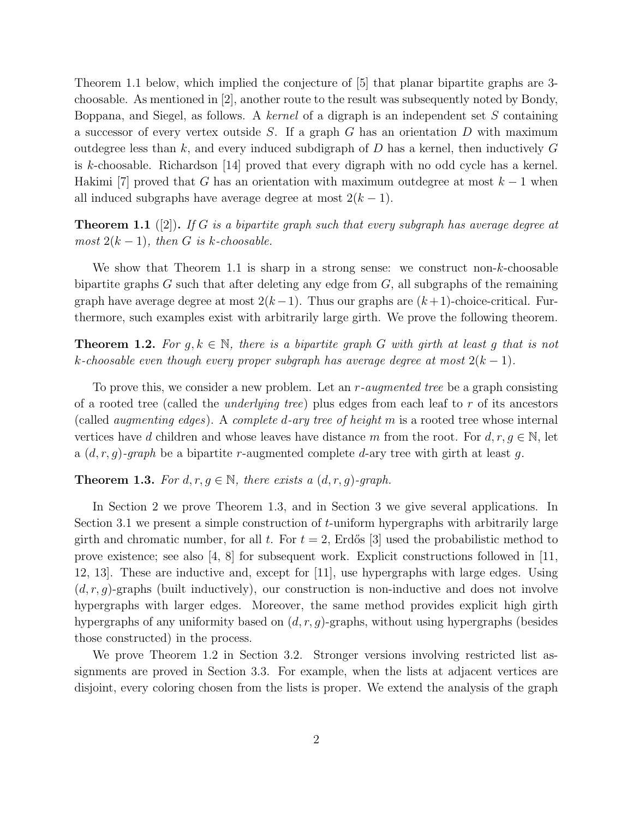Theorem 1.1 below, which implied the conjecture of [5] that planar bipartite graphs are 3 choosable. As mentioned in [2], another route to the result was subsequently noted by Bondy, Boppana, and Siegel, as follows. A kernel of a digraph is an independent set  $S$  containing a successor of every vertex outside S. If a graph G has an orientation  $D$  with maximum outdegree less than k, and every induced subdigraph of  $D$  has a kernel, then inductively  $G$ is k-choosable. Richardson [14] proved that every digraph with no odd cycle has a kernel. Hakimi [7] proved that G has an orientation with maximum outdegree at most  $k-1$  when all induced subgraphs have average degree at most  $2(k-1)$ .

**Theorem 1.1** ([2]). If G is a bipartite graph such that every subgraph has average degree at most  $2(k-1)$ , then G is k-choosable.

We show that Theorem 1.1 is sharp in a strong sense: we construct non-k-choosable bipartite graphs  $G$  such that after deleting any edge from  $G$ , all subgraphs of the remaining graph have average degree at most  $2(k-1)$ . Thus our graphs are  $(k+1)$ -choice-critical. Furthermore, such examples exist with arbitrarily large girth. We prove the following theorem.

**Theorem 1.2.** For  $q, k \in \mathbb{N}$ , there is a bipartite graph G with girth at least q that is not k-choosable even though every proper subgraph has average degree at most  $2(k-1)$ .

To prove this, we consider a new problem. Let an  $r$ -augmented tree be a graph consisting of a rooted tree (called the underlying tree) plus edges from each leaf to r of its ancestors (called augmenting edges). A complete d-ary tree of height m is a rooted tree whose internal vertices have d children and whose leaves have distance m from the root. For  $d, r, g \in \mathbb{N}$ , let a  $(d, r, g)$ -graph be a bipartite r-augmented complete d-ary tree with girth at least g.

**Theorem 1.3.** For  $d, r, g \in \mathbb{N}$ , there exists a  $(d, r, g)$ -graph.

In Section 2 we prove Theorem 1.3, and in Section 3 we give several applications. In Section 3.1 we present a simple construction of  $t$ -uniform hypergraphs with arbitrarily large girth and chromatic number, for all t. For  $t = 2$ , Erdős [3] used the probabilistic method to prove existence; see also [4, 8] for subsequent work. Explicit constructions followed in [11, 12, 13]. These are inductive and, except for [11], use hypergraphs with large edges. Using  $(d, r, g)$ -graphs (built inductively), our construction is non-inductive and does not involve hypergraphs with larger edges. Moreover, the same method provides explicit high girth hypergraphs of any uniformity based on  $(d, r, g)$ -graphs, without using hypergraphs (besides those constructed) in the process.

We prove Theorem 1.2 in Section 3.2. Stronger versions involving restricted list assignments are proved in Section 3.3. For example, when the lists at adjacent vertices are disjoint, every coloring chosen from the lists is proper. We extend the analysis of the graph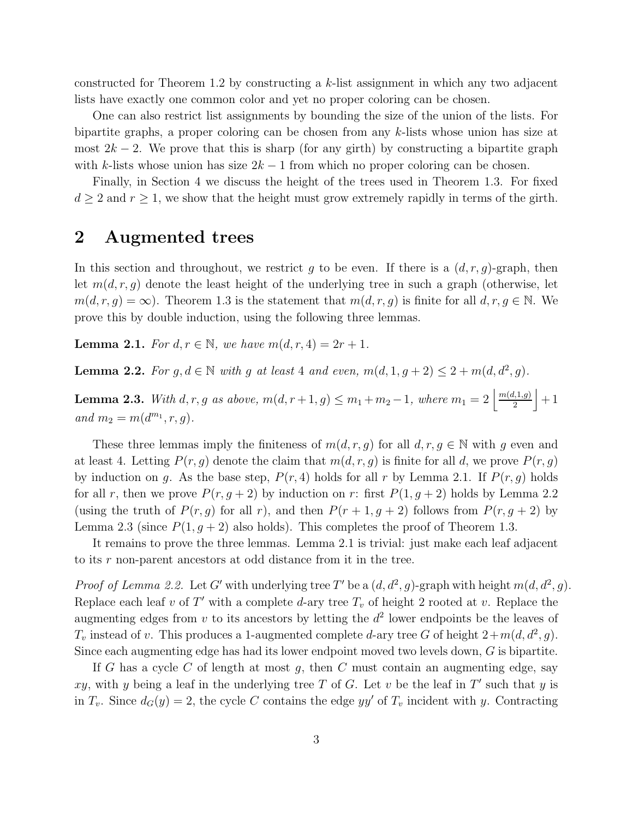constructed for Theorem 1.2 by constructing a  $k$ -list assignment in which any two adjacent lists have exactly one common color and yet no proper coloring can be chosen.

One can also restrict list assignments by bounding the size of the union of the lists. For bipartite graphs, a proper coloring can be chosen from any k-lists whose union has size at most  $2k - 2$ . We prove that this is sharp (for any girth) by constructing a bipartite graph with k-lists whose union has size  $2k - 1$  from which no proper coloring can be chosen.

Finally, in Section 4 we discuss the height of the trees used in Theorem 1.3. For fixed  $d \geq 2$  and  $r \geq 1$ , we show that the height must grow extremely rapidly in terms of the girth.

# 2 Augmented trees

In this section and throughout, we restrict g to be even. If there is a  $(d, r, g)$ -graph, then let  $m(d, r, q)$  denote the least height of the underlying tree in such a graph (otherwise, let  $m(d, r, g) = \infty$ ). Theorem 1.3 is the statement that  $m(d, r, g)$  is finite for all  $d, r, g \in \mathbb{N}$ . We prove this by double induction, using the following three lemmas.

**Lemma 2.1.** For  $d, r \in \mathbb{N}$ , we have  $m(d, r, 4) = 2r + 1$ .

**Lemma 2.2.** For  $g, d \in \mathbb{N}$  with g at least 4 and even,  $m(d, 1, g + 2) \leq 2 + m(d, d^2, g)$ .

**Lemma 2.3.** With d, r, g as above,  $m(d, r + 1, g) \le m_1 + m_2 - 1$ , where  $m_1 = 2 \frac{m(d, 1, g)}{2}$  $\frac{l,1,g)}{2}\Big|+1$ and  $m_2 = m(d^{m_1}, r, g)$ .

These three lemmas imply the finiteness of  $m(d, r, g)$  for all  $d, r, g \in \mathbb{N}$  with g even and at least 4. Letting  $P(r, g)$  denote the claim that  $m(d, r, g)$  is finite for all d, we prove  $P(r, g)$ by induction on q. As the base step,  $P(r, 4)$  holds for all r by Lemma 2.1. If  $P(r, q)$  holds for all r, then we prove  $P(r, g + 2)$  by induction on r: first  $P(1, g + 2)$  holds by Lemma 2.2 (using the truth of  $P(r, g)$  for all r), and then  $P(r + 1, g + 2)$  follows from  $P(r, g + 2)$  by Lemma 2.3 (since  $P(1, g + 2)$  also holds). This completes the proof of Theorem 1.3.

It remains to prove the three lemmas. Lemma 2.1 is trivial: just make each leaf adjacent to its r non-parent ancestors at odd distance from it in the tree.

*Proof of Lemma 2.2.* Let G' with underlying tree T' be a  $(d, d^2, g)$ -graph with height  $m(d, d^2, g)$ . Replace each leaf v of T' with a complete d-ary tree  $T_v$  of height 2 rooted at v. Replace the augmenting edges from  $v$  to its ancestors by letting the  $d^2$  lower endpoints be the leaves of  $T_v$  instead of v. This produces a 1-augmented complete d-ary tree G of height  $2+m(d, d^2, g)$ . Since each augmenting edge has had its lower endpoint moved two levels down, G is bipartite.

If G has a cycle C of length at most g, then C must contain an augmenting edge, say xy, with y being a leaf in the underlying tree T of G. Let v be the leaf in T' such that y is in  $T_v$ . Since  $d_G(y) = 2$ , the cycle C contains the edge yy' of  $T_v$  incident with y. Contracting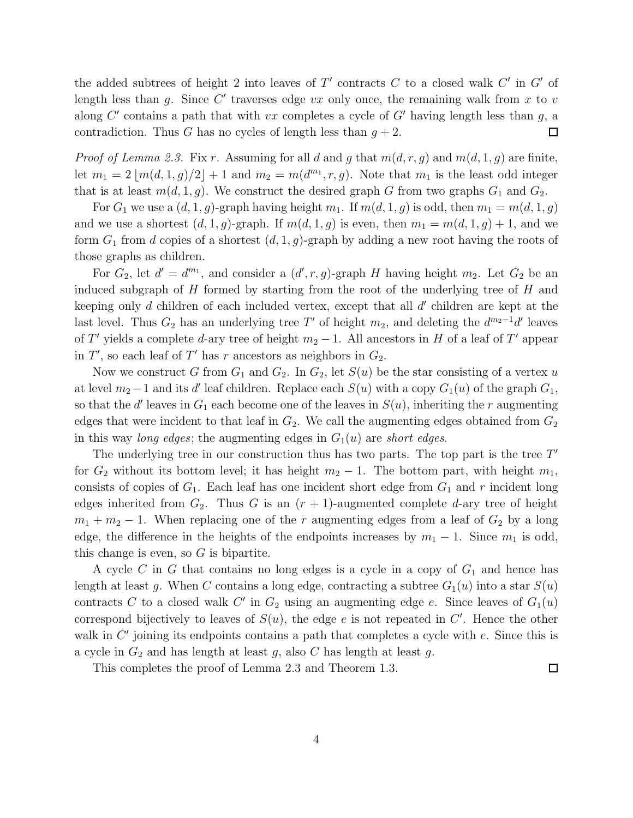the added subtrees of height 2 into leaves of  $T'$  contracts  $C$  to a closed walk  $C'$  in  $G'$  of length less than  $g$ . Since  $C'$  traverses edge  $vx$  only once, the remaining walk from  $x$  to  $v$ along  $C'$  contains a path that with vx completes a cycle of  $G'$  having length less than  $g$ , a contradiction. Thus G has no cycles of length less than  $q + 2$ .  $\Box$ 

*Proof of Lemma 2.3.* Fix r. Assuming for all d and g that  $m(d, r, g)$  and  $m(d, 1, g)$  are finite, let  $m_1 = 2 \lfloor m(d,1,g)/2 \rfloor + 1$  and  $m_2 = m(d^{m_1},r,g)$ . Note that  $m_1$  is the least odd integer that is at least  $m(d, 1, g)$ . We construct the desired graph G from two graphs  $G_1$  and  $G_2$ .

For  $G_1$  we use a  $(d, 1, g)$ -graph having height  $m_1$ . If  $m(d, 1, g)$  is odd, then  $m_1 = m(d, 1, g)$ and we use a shortest  $(d, 1, g)$ -graph. If  $m(d, 1, g)$  is even, then  $m_1 = m(d, 1, g) + 1$ , and we form  $G_1$  from d copies of a shortest  $(d, 1, g)$ -graph by adding a new root having the roots of those graphs as children.

For  $G_2$ , let  $d' = d^{m_1}$ , and consider a  $(d', r, g)$ -graph H having height  $m_2$ . Let  $G_2$  be an induced subgraph of  $H$  formed by starting from the root of the underlying tree of  $H$  and keeping only  $d$  children of each included vertex, except that all  $d'$  children are kept at the last level. Thus  $G_2$  has an underlying tree T' of height  $m_2$ , and deleting the  $d^{m_2-1}d'$  leaves of T' yields a complete d-ary tree of height  $m_2 - 1$ . All ancestors in H of a leaf of T' appear in  $T'$ , so each leaf of  $T'$  has r ancestors as neighbors in  $G_2$ .

Now we construct G from  $G_1$  and  $G_2$ . In  $G_2$ , let  $S(u)$  be the star consisting of a vertex u at level  $m_2-1$  and its d' leaf children. Replace each  $S(u)$  with a copy  $G_1(u)$  of the graph  $G_1$ , so that the  $d'$  leaves in  $G_1$  each become one of the leaves in  $S(u)$ , inheriting the r augmenting edges that were incident to that leaf in  $G_2$ . We call the augmenting edges obtained from  $G_2$ in this way long edges; the augmenting edges in  $G_1(u)$  are short edges.

The underlying tree in our construction thus has two parts. The top part is the tree  $T'$ for  $G_2$  without its bottom level; it has height  $m_2 - 1$ . The bottom part, with height  $m_1$ , consists of copies of  $G_1$ . Each leaf has one incident short edge from  $G_1$  and r incident long edges inherited from  $G_2$ . Thus G is an  $(r + 1)$ -augmented complete d-ary tree of height  $m_1 + m_2 - 1$ . When replacing one of the r augmenting edges from a leaf of  $G_2$  by a long edge, the difference in the heights of the endpoints increases by  $m_1 - 1$ . Since  $m_1$  is odd, this change is even, so  $G$  is bipartite.

A cycle C in G that contains no long edges is a cycle in a copy of  $G_1$  and hence has length at least g. When C contains a long edge, contracting a subtree  $G_1(u)$  into a star  $S(u)$ contracts C to a closed walk C' in  $G_2$  using an augmenting edge e. Since leaves of  $G_1(u)$ correspond bijectively to leaves of  $S(u)$ , the edge e is not repeated in C'. Hence the other walk in  $C'$  joining its endpoints contains a path that completes a cycle with  $e$ . Since this is a cycle in  $G_2$  and has length at least g, also C has length at least g.

This completes the proof of Lemma 2.3 and Theorem 1.3.

 $\Box$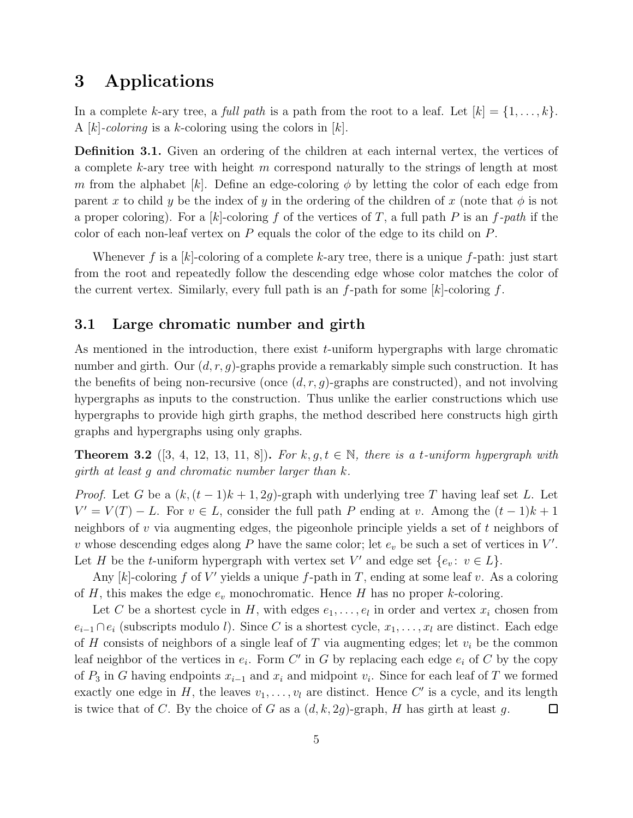## 3 Applications

In a complete k-ary tree, a full path is a path from the root to a leaf. Let  $[k] = \{1, \ldots, k\}$ . A |k|-coloring is a k-coloring using the colors in |k|.

Definition 3.1. Given an ordering of the children at each internal vertex, the vertices of a complete k-ary tree with height  $m$  correspond naturally to the strings of length at most m from the alphabet  $[k]$ . Define an edge-coloring  $\phi$  by letting the color of each edge from parent x to child y be the index of y in the ordering of the children of x (note that  $\phi$  is not a proper coloring). For a [k]-coloring f of the vertices of T, a full path P is an f-path if the color of each non-leaf vertex on  $P$  equals the color of the edge to its child on  $P$ .

Whenever f is a [k]-coloring of a complete k-ary tree, there is a unique f-path: just start from the root and repeatedly follow the descending edge whose color matches the color of the current vertex. Similarly, every full path is an  $f$ -path for some  $[k]$ -coloring  $f$ .

### 3.1 Large chromatic number and girth

As mentioned in the introduction, there exist  $t$ -uniform hypergraphs with large chromatic number and girth. Our  $(d, r, g)$ -graphs provide a remarkably simple such construction. It has the benefits of being non-recursive (once  $(d, r, g)$ -graphs are constructed), and not involving hypergraphs as inputs to the construction. Thus unlike the earlier constructions which use hypergraphs to provide high girth graphs, the method described here constructs high girth graphs and hypergraphs using only graphs.

**Theorem 3.2** ([3, 4, 12, 13, 11, 8]). For k,  $q, t \in \mathbb{N}$ , there is a t-uniform hypergraph with girth at least g and chromatic number larger than k.

*Proof.* Let G be a  $(k, (t-1)k+1, 2g)$ -graph with underlying tree T having leaf set L. Let  $V' = V(T) - L$ . For  $v \in L$ , consider the full path P ending at v. Among the  $(t - 1)k + 1$ neighbors of v via augmenting edges, the pigeonhole principle yields a set of t neighbors of v whose descending edges along  $P$  have the same color; let  $e_v$  be such a set of vertices in  $V'$ . Let H be the t-uniform hypergraph with vertex set  $V'$  and edge set  $\{e_v: v \in L\}$ .

Any  $[k]$ -coloring f of V' yields a unique f-path in T, ending at some leaf v. As a coloring of H, this makes the edge  $e_v$  monochromatic. Hence H has no proper k-coloring.

Let C be a shortest cycle in H, with edges  $e_1, \ldots, e_l$  in order and vertex  $x_i$  chosen from  $e_{i-1} \cap e_i$  (subscripts modulo l). Since C is a shortest cycle,  $x_1, \ldots, x_l$  are distinct. Each edge of H consists of neighbors of a single leaf of T via augmenting edges; let  $v_i$  be the common leaf neighbor of the vertices in  $e_i$ . Form C' in G by replacing each edge  $e_i$  of C by the copy of  $P_3$  in G having endpoints  $x_{i-1}$  and  $x_i$  and midpoint  $v_i$ . Since for each leaf of T we formed exactly one edge in H, the leaves  $v_1, \ldots, v_l$  are distinct. Hence C' is a cycle, and its length is twice that of C. By the choice of G as a  $(d, k, 2g)$ -graph, H has girth at least g.  $\Box$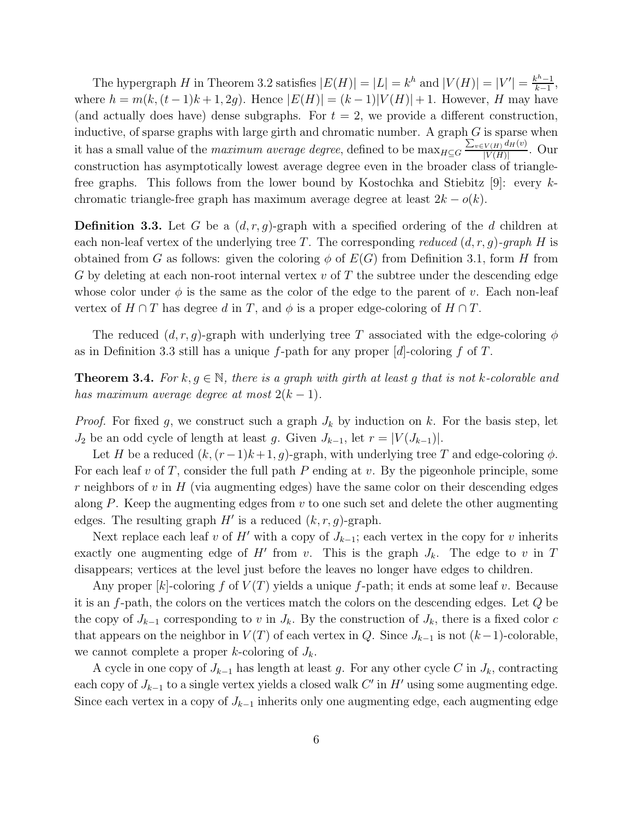The hypergraph H in Theorem 3.2 satisfies  $|E(H)| = |L| = k^h$  and  $|V(H)| = |V'| = \frac{k^h - 1}{k-1}$  $\frac{x^{n}-1}{k-1},$ where  $h = m(k, (t-1)k+1, 2g)$ . Hence  $|E(H)| = (k-1)|V(H)|+1$ . However, H may have (and actually does have) dense subgraphs. For  $t = 2$ , we provide a different construction, inductive, of sparse graphs with large girth and chromatic number. A graph  $G$  is sparse when it has a small value of the *maximum average degree*, defined to be  $\max_{H\subseteq G}\frac{\sum_{v\in V(H)}d_H(v)}{|V(H)|}$  $\frac{V(H)^{\alpha_H(\mathfrak{o})}}{|V(H)|}$ . Our construction has asymptotically lowest average degree even in the broader class of trianglefree graphs. This follows from the lower bound by Kostochka and Stiebitz [9]: every kchromatic triangle-free graph has maximum average degree at least  $2k - o(k)$ .

**Definition 3.3.** Let G be a  $(d, r, g)$ -graph with a specified ordering of the d children at each non-leaf vertex of the underlying tree T. The corresponding reduced  $(d, r, g)$ -graph H is obtained from G as follows: given the coloring  $\phi$  of  $E(G)$  from Definition 3.1, form H from G by deleting at each non-root internal vertex  $v$  of T the subtree under the descending edge whose color under  $\phi$  is the same as the color of the edge to the parent of v. Each non-leaf vertex of  $H \cap T$  has degree d in T, and  $\phi$  is a proper edge-coloring of  $H \cap T$ .

The reduced  $(d, r, g)$ -graph with underlying tree T associated with the edge-coloring  $\phi$ as in Definition 3.3 still has a unique f-path for any proper  $[d]$ -coloring f of T.

**Theorem 3.4.** For k,  $q \in \mathbb{N}$ , there is a graph with girth at least q that is not k-colorable and has maximum average degree at most  $2(k-1)$ .

*Proof.* For fixed g, we construct such a graph  $J_k$  by induction on k. For the basis step, let  $J_2$  be an odd cycle of length at least g. Given  $J_{k-1}$ , let  $r = |V(J_{k-1})|$ .

Let H be a reduced  $(k, (r-1)k+1, g)$ -graph, with underlying tree T and edge-coloring  $\phi$ . For each leaf v of T, consider the full path P ending at v. By the pigeonhole principle, some  $r$  neighbors of  $v$  in  $H$  (via augmenting edges) have the same color on their descending edges along P. Keep the augmenting edges from  $v$  to one such set and delete the other augmenting edges. The resulting graph  $H'$  is a reduced  $(k, r, g)$ -graph.

Next replace each leaf v of H' with a copy of  $J_{k-1}$ ; each vertex in the copy for v inherits exactly one augmenting edge of  $H'$  from v. This is the graph  $J_k$ . The edge to v in T disappears; vertices at the level just before the leaves no longer have edges to children.

Any proper  $[k]$ -coloring f of  $V(T)$  yields a unique f-path; it ends at some leaf v. Because it is an f-path, the colors on the vertices match the colors on the descending edges. Let Q be the copy of  $J_{k-1}$  corresponding to v in  $J_k$ . By the construction of  $J_k$ , there is a fixed color c that appears on the neighbor in  $V(T)$  of each vertex in Q. Since  $J_{k-1}$  is not  $(k-1)$ -colorable, we cannot complete a proper k-coloring of  $J_k$ .

A cycle in one copy of  $J_{k-1}$  has length at least g. For any other cycle C in  $J_k$ , contracting each copy of  $J_{k-1}$  to a single vertex yields a closed walk  $C'$  in  $H'$  using some augmenting edge. Since each vertex in a copy of  $J_{k-1}$  inherits only one augmenting edge, each augmenting edge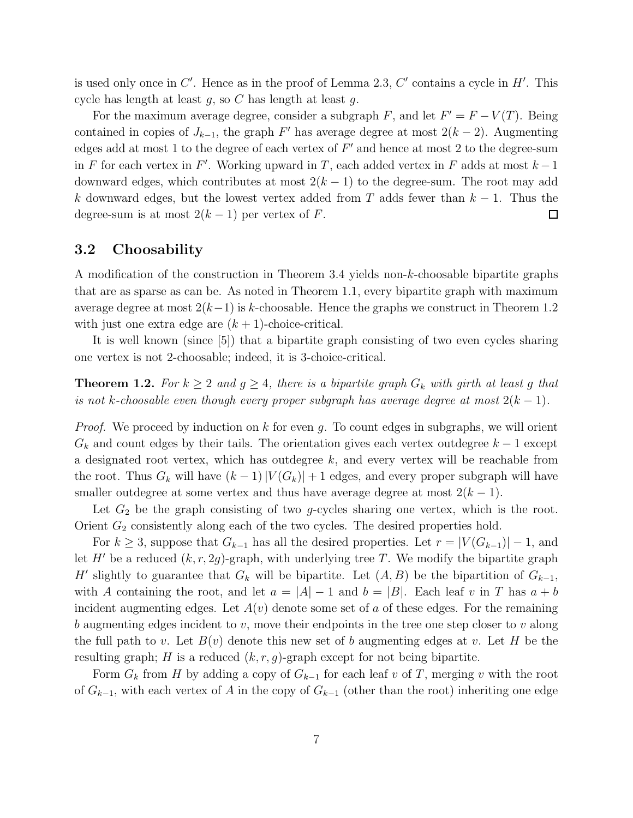is used only once in  $C'$ . Hence as in the proof of Lemma 2.3,  $C'$  contains a cycle in  $H'$ . This cycle has length at least  $g$ , so C has length at least  $g$ .

For the maximum average degree, consider a subgraph F, and let  $F' = F - V(T)$ . Being contained in copies of  $J_{k-1}$ , the graph F' has average degree at most  $2(k-2)$ . Augmenting edges add at most 1 to the degree of each vertex of  $F'$  and hence at most 2 to the degree-sum in F for each vertex in F'. Working upward in T, each added vertex in F adds at most  $k-1$ downward edges, which contributes at most  $2(k-1)$  to the degree-sum. The root may add k downward edges, but the lowest vertex added from T adds fewer than  $k - 1$ . Thus the degree-sum is at most  $2(k-1)$  per vertex of F.  $\Box$ 

#### 3.2 Choosability

A modification of the construction in Theorem 3.4 yields non-k-choosable bipartite graphs that are as sparse as can be. As noted in Theorem 1.1, every bipartite graph with maximum average degree at most  $2(k-1)$  is k-choosable. Hence the graphs we construct in Theorem 1.2 with just one extra edge are  $(k + 1)$ -choice-critical.

It is well known (since [5]) that a bipartite graph consisting of two even cycles sharing one vertex is not 2-choosable; indeed, it is 3-choice-critical.

**Theorem 1.2.** For  $k \geq 2$  and  $g \geq 4$ , there is a bipartite graph  $G_k$  with girth at least g that is not k-choosable even though every proper subgraph has average degree at most  $2(k-1)$ .

*Proof.* We proceed by induction on  $k$  for even  $q$ . To count edges in subgraphs, we will orient  $G_k$  and count edges by their tails. The orientation gives each vertex outdegree  $k-1$  except a designated root vertex, which has outdegree  $k$ , and every vertex will be reachable from the root. Thus  $G_k$  will have  $(k-1)|V(G_k)|+1$  edges, and every proper subgraph will have smaller outdegree at some vertex and thus have average degree at most  $2(k - 1)$ .

Let  $G_2$  be the graph consisting of two g-cycles sharing one vertex, which is the root. Orient  $G_2$  consistently along each of the two cycles. The desired properties hold.

For  $k \geq 3$ , suppose that  $G_{k-1}$  has all the desired properties. Let  $r = |V(G_{k-1})| - 1$ , and let H' be a reduced  $(k, r, 2g)$ -graph, with underlying tree T. We modify the bipartite graph H' slightly to guarantee that  $G_k$  will be bipartite. Let  $(A, B)$  be the bipartition of  $G_{k-1}$ , with A containing the root, and let  $a = |A| - 1$  and  $b = |B|$ . Each leaf v in T has  $a + b$ incident augmenting edges. Let  $A(v)$  denote some set of a of these edges. For the remaining b augmenting edges incident to  $v$ , move their endpoints in the tree one step closer to  $v$  along the full path to v. Let  $B(v)$  denote this new set of b augmenting edges at v. Let H be the resulting graph; H is a reduced  $(k, r, g)$ -graph except for not being bipartite.

Form  $G_k$  from H by adding a copy of  $G_{k-1}$  for each leaf v of T, merging v with the root of  $G_{k-1}$ , with each vertex of A in the copy of  $G_{k-1}$  (other than the root) inheriting one edge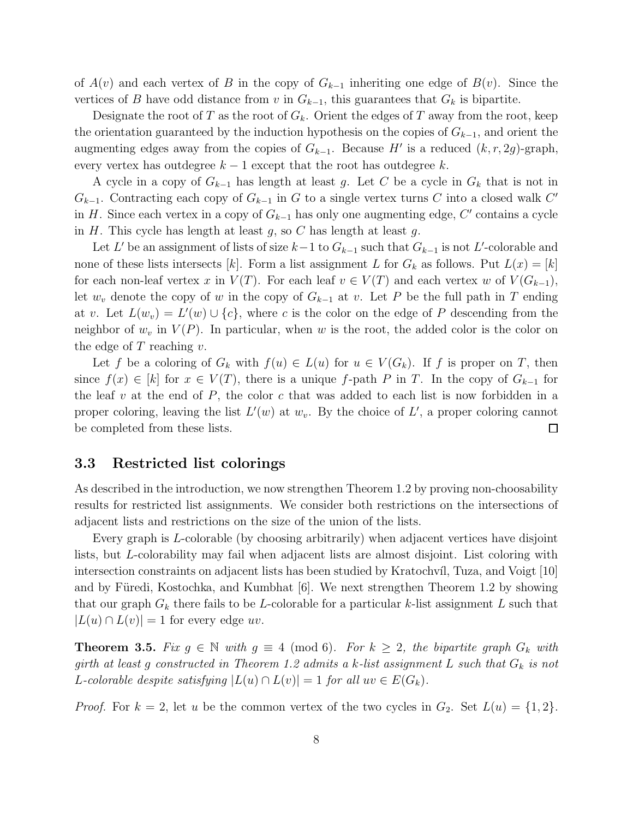of  $A(v)$  and each vertex of B in the copy of  $G_{k-1}$  inheriting one edge of  $B(v)$ . Since the vertices of B have odd distance from v in  $G_{k-1}$ , this guarantees that  $G_k$  is bipartite.

Designate the root of T as the root of  $G_k$ . Orient the edges of T away from the root, keep the orientation guaranteed by the induction hypothesis on the copies of  $G_{k-1}$ , and orient the augmenting edges away from the copies of  $G_{k-1}$ . Because H' is a reduced  $(k, r, 2g)$ -graph, every vertex has outdegree  $k - 1$  except that the root has outdegree  $k$ .

A cycle in a copy of  $G_{k-1}$  has length at least g. Let C be a cycle in  $G_k$  that is not in  $G_{k-1}$ . Contracting each copy of  $G_{k-1}$  in G to a single vertex turns C into a closed walk C' in H. Since each vertex in a copy of  $G_{k-1}$  has only one augmenting edge, C' contains a cycle in  $H$ . This cycle has length at least  $g$ , so  $C$  has length at least  $g$ .

Let L' be an assignment of lists of size  $k-1$  to  $G_{k-1}$  such that  $G_{k-1}$  is not L'-colorable and none of these lists intersects [k]. Form a list assignment L for  $G_k$  as follows. Put  $L(x) = [k]$ for each non-leaf vertex x in  $V(T)$ . For each leaf  $v \in V(T)$  and each vertex w of  $V(G_{k-1}),$ let  $w_v$  denote the copy of w in the copy of  $G_{k-1}$  at v. Let P be the full path in T ending at v. Let  $L(w_v) = L'(w) \cup \{c\}$ , where c is the color on the edge of P descending from the neighbor of  $w_v$  in  $V(P)$ . In particular, when w is the root, the added color is the color on the edge of  $T$  reaching  $v$ .

Let f be a coloring of  $G_k$  with  $f(u) \in L(u)$  for  $u \in V(G_k)$ . If f is proper on T, then since  $f(x) \in [k]$  for  $x \in V(T)$ , there is a unique f-path P in T. In the copy of  $G_{k-1}$  for the leaf v at the end of  $P$ , the color c that was added to each list is now forbidden in a proper coloring, leaving the list  $L'(w)$  at  $w_v$ . By the choice of  $L'$ , a proper coloring cannot be completed from these lists.  $\Box$ 

#### 3.3 Restricted list colorings

As described in the introduction, we now strengthen Theorem 1.2 by proving non-choosability results for restricted list assignments. We consider both restrictions on the intersections of adjacent lists and restrictions on the size of the union of the lists.

Every graph is L-colorable (by choosing arbitrarily) when adjacent vertices have disjoint lists, but L-colorability may fail when adjacent lists are almost disjoint. List coloring with intersection constraints on adjacent lists has been studied by Kratochvíl, Tuza, and Voigt [10] and by Füredi, Kostochka, and Kumbhat  $[6]$ . We next strengthen Theorem 1.2 by showing that our graph  $G_k$  there fails to be L-colorable for a particular k-list assignment L such that  $|L(u) \cap L(v)| = 1$  for every edge uv.

**Theorem 3.5.** Fix  $g \in \mathbb{N}$  with  $g \equiv 4 \pmod{6}$ . For  $k \geq 2$ , the bipartite graph  $G_k$  with girth at least g constructed in Theorem 1.2 admits a k-list assignment L such that  $G_k$  is not L-colorable despite satisfying  $|L(u) \cap L(v)| = 1$  for all  $uv \in E(G_k)$ .

*Proof.* For  $k = 2$ , let u be the common vertex of the two cycles in  $G_2$ . Set  $L(u) = \{1, 2\}$ .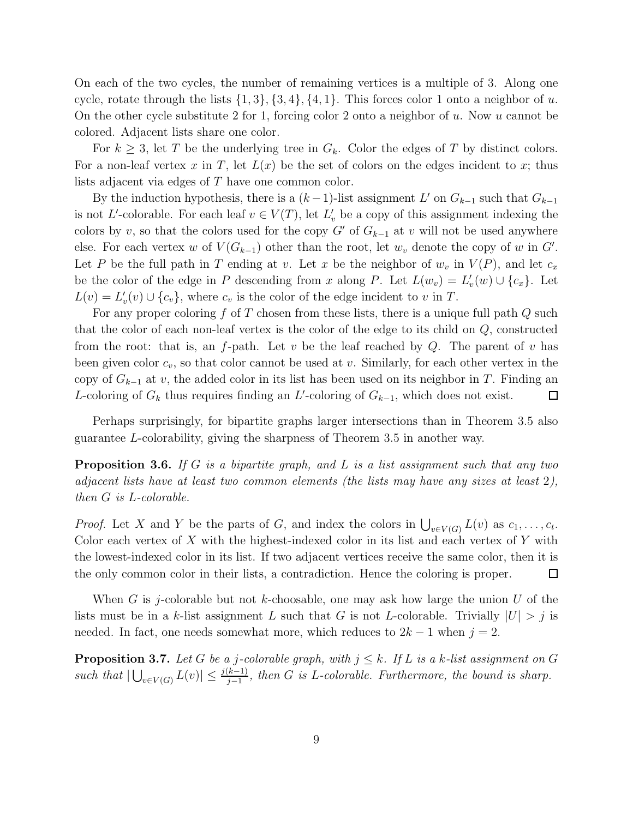On each of the two cycles, the number of remaining vertices is a multiple of 3. Along one cycle, rotate through the lists  $\{1, 3\}, \{3, 4\}, \{4, 1\}$ . This forces color 1 onto a neighbor of u. On the other cycle substitute 2 for 1, forcing color 2 onto a neighbor of u. Now u cannot be colored. Adjacent lists share one color.

For  $k \geq 3$ , let T be the underlying tree in  $G_k$ . Color the edges of T by distinct colors. For a non-leaf vertex x in T, let  $L(x)$  be the set of colors on the edges incident to x; thus lists adjacent via edges of T have one common color.

By the induction hypothesis, there is a  $(k-1)$ -list assignment L' on  $G_{k-1}$  such that  $G_{k-1}$ is not L'-colorable. For each leaf  $v \in V(T)$ , let  $L'_v$  be a copy of this assignment indexing the colors by v, so that the colors used for the copy G' of  $G_{k-1}$  at v will not be used anywhere else. For each vertex w of  $V(G_{k-1})$  other than the root, let  $w_v$  denote the copy of w in  $G'$ . Let P be the full path in T ending at v. Let x be the neighbor of  $w_v$  in  $V(P)$ , and let  $c_x$ be the color of the edge in P descending from x along P. Let  $L(w_v) = L'_v(w) \cup \{c_x\}$ . Let  $L(v) = L'_v(v) \cup \{c_v\}$ , where  $c_v$  is the color of the edge incident to v in T.

For any proper coloring  $f$  of  $T$  chosen from these lists, there is a unique full path  $Q$  such that the color of each non-leaf vertex is the color of the edge to its child on Q, constructed from the root: that is, an f-path. Let v be the leaf reached by  $Q$ . The parent of v has been given color  $c_v$ , so that color cannot be used at v. Similarly, for each other vertex in the copy of  $G_{k-1}$  at v, the added color in its list has been used on its neighbor in T. Finding an L-coloring of  $G_k$  thus requires finding an L'-coloring of  $G_{k-1}$ , which does not exist.  $\Box$ 

Perhaps surprisingly, for bipartite graphs larger intersections than in Theorem 3.5 also guarantee L-colorability, giving the sharpness of Theorem 3.5 in another way.

**Proposition 3.6.** If G is a bipartite graph, and L is a list assignment such that any two adjacent lists have at least two common elements (the lists may have any sizes at least 2), then G is L-colorable.

*Proof.* Let X and Y be the parts of G, and index the colors in  $\bigcup_{v \in V(G)} L(v)$  as  $c_1, \ldots, c_t$ . Color each vertex of  $X$  with the highest-indexed color in its list and each vertex of  $Y$  with the lowest-indexed color in its list. If two adjacent vertices receive the same color, then it is the only common color in their lists, a contradiction. Hence the coloring is proper.  $\Box$ 

When G is j-colorable but not k-choosable, one may ask how large the union U of the lists must be in a k-list assignment L such that G is not L-colorable. Trivially  $|U| > j$  is needed. In fact, one needs somewhat more, which reduces to  $2k - 1$  when  $j = 2$ .

**Proposition 3.7.** Let G be a j-colorable graph, with  $j \leq k$ . If L is a k-list assignment on G such that  $|\bigcup_{v\in V(G)} L(v)| \leq \frac{j(k-1)}{j-1}$ , then G is L-colorable. Furthermore, the bound is sharp.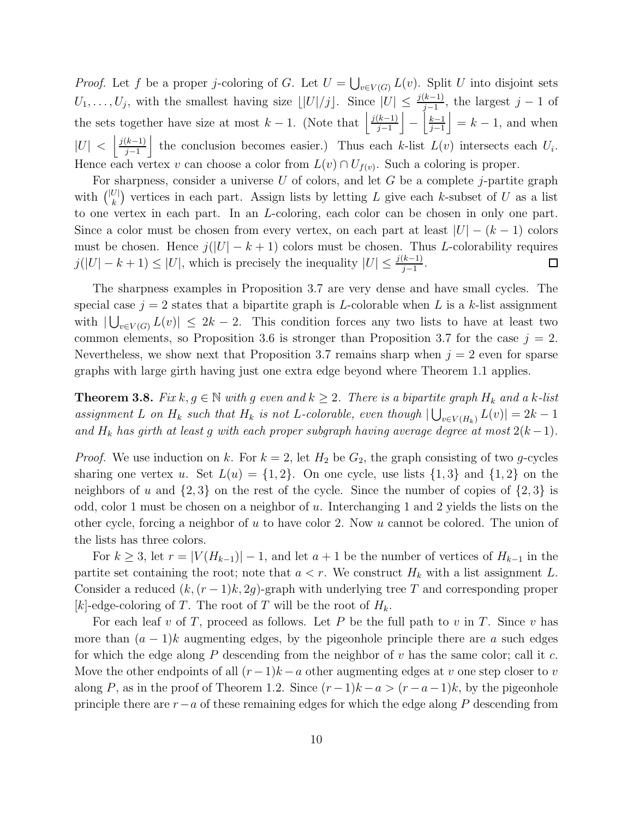*Proof.* Let f be a proper j-coloring of G. Let  $U = \bigcup_{v \in V(G)} L(v)$ . Split U into disjoint sets  $U_1, \ldots, U_j$ , with the smallest having size  $\lfloor |U|/j \rfloor$ . Since  $|U| \leq \frac{j(k-1)}{j-1}$ , the largest  $j-1$  of the sets together have size at most  $k-1$ . (Note that  $\frac{j(k-1)}{i-1}$  $\left\lfloor \frac{k-1}{j-1} \right\rfloor - \left\lfloor \frac{k-1}{j-1} \right\rfloor$  $\left|\frac{k-1}{j-1}\right| = k-1$ , and when  $|U| < \left| \frac{j(k-1)}{j-1} \right|$  $\left| \frac{(k-1)}{j-1} \right|$  the conclusion becomes easier.) Thus each k-list  $L(v)$  intersects each  $U_i$ . Hence each vertex v can choose a color from  $L(v) \cap U_{f(v)}$ . Such a coloring is proper.

For sharpness, consider a universe  $U$  of colors, and let  $G$  be a complete j-partite graph with  $\binom{|U|}{k}$  $\binom{U}{k}$  vertices in each part. Assign lists by letting L give each k-subset of U as a list to one vertex in each part. In an L-coloring, each color can be chosen in only one part. Since a color must be chosen from every vertex, on each part at least  $|U| - (k-1)$  colors must be chosen. Hence  $j(|U| - k + 1)$  colors must be chosen. Thus L-colorability requires  $j(|U| - k + 1) \leq |U|$ , which is precisely the inequality  $|U| \leq \frac{j(k-1)}{j-1}$ .  $\Box$ 

The sharpness examples in Proposition 3.7 are very dense and have small cycles. The special case  $j = 2$  states that a bipartite graph is L-colorable when L is a k-list assignment with  $|\bigcup_{v\in V(G)} L(v)| \leq 2k-2$ . This condition forces any two lists to have at least two common elements, so Proposition 3.6 is stronger than Proposition 3.7 for the case  $j = 2$ . Nevertheless, we show next that Proposition 3.7 remains sharp when  $j = 2$  even for sparse graphs with large girth having just one extra edge beyond where Theorem 1.1 applies.

**Theorem 3.8.** Fix  $k, g \in \mathbb{N}$  with g even and  $k \geq 2$ . There is a bipartite graph  $H_k$  and a k-list assignment L on  $H_k$  such that  $H_k$  is not L-colorable, even though  $|\bigcup_{v \in V(H_k)} L(v)| = 2k - 1$ and  $H_k$  has girth at least g with each proper subgraph having average degree at most  $2(k-1)$ .

*Proof.* We use induction on k. For  $k = 2$ , let  $H_2$  be  $G_2$ , the graph consisting of two g-cycles sharing one vertex u. Set  $L(u) = \{1,2\}$ . On one cycle, use lists  $\{1,3\}$  and  $\{1,2\}$  on the neighbors of u and  $\{2,3\}$  on the rest of the cycle. Since the number of copies of  $\{2,3\}$  is odd, color 1 must be chosen on a neighbor of  $u$ . Interchanging 1 and 2 yields the lists on the other cycle, forcing a neighbor of u to have color 2. Now u cannot be colored. The union of the lists has three colors.

For  $k \geq 3$ , let  $r = |V(H_{k-1})| - 1$ , and let  $a + 1$  be the number of vertices of  $H_{k-1}$  in the partite set containing the root; note that  $a < r$ . We construct  $H_k$  with a list assignment L. Consider a reduced  $(k, (r-1)k, 2g)$ -graph with underlying tree T and corresponding proper [k]-edge-coloring of T. The root of T will be the root of  $H_k$ .

For each leaf v of T, proceed as follows. Let P be the full path to v in T. Since v has more than  $(a - 1)k$  augmenting edges, by the pigeonhole principle there are a such edges for which the edge along  $P$  descending from the neighbor of  $v$  has the same color; call it  $c$ . Move the other endpoints of all  $(r-1)k - a$  other augmenting edges at v one step closer to v along P, as in the proof of Theorem 1.2. Since  $(r-1)k - a > (r-a-1)k$ , by the pigeonhole principle there are  $r-a$  of these remaining edges for which the edge along P descending from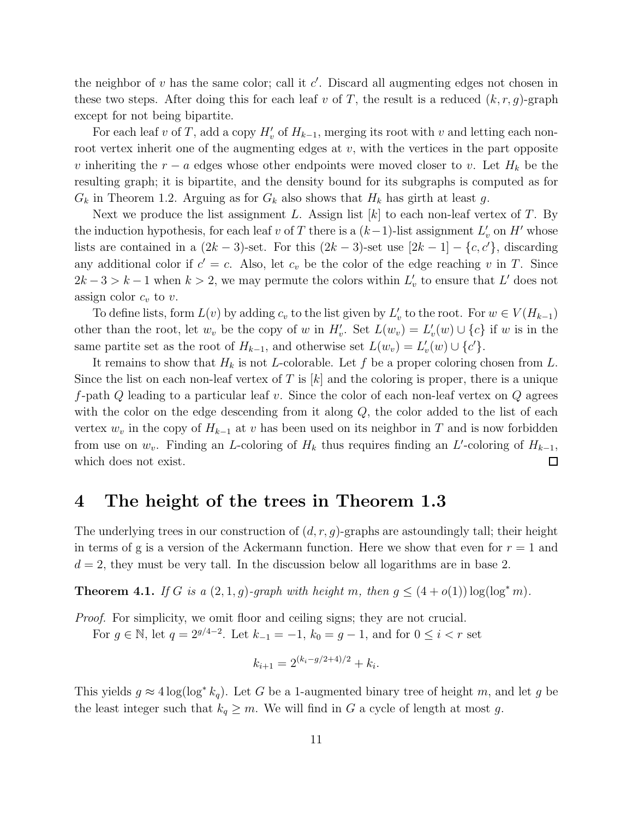the neighbor of  $v$  has the same color; call it  $c'$ . Discard all augmenting edges not chosen in these two steps. After doing this for each leaf v of T, the result is a reduced  $(k, r, g)$ -graph except for not being bipartite.

For each leaf v of T, add a copy  $H'_{v}$  of  $H_{k-1}$ , merging its root with v and letting each nonroot vertex inherit one of the augmenting edges at  $v$ , with the vertices in the part opposite v inheriting the  $r - a$  edges whose other endpoints were moved closer to v. Let  $H_k$  be the resulting graph; it is bipartite, and the density bound for its subgraphs is computed as for  $G_k$  in Theorem 1.2. Arguing as for  $G_k$  also shows that  $H_k$  has girth at least g.

Next we produce the list assignment L. Assign list  $[k]$  to each non-leaf vertex of T. By the induction hypothesis, for each leaf v of T there is a  $(k-1)$ -list assignment  $L'_v$  on H' whose lists are contained in a  $(2k-3)$ -set. For this  $(2k-3)$ -set use  $[2k-1] - \{c, c'\}$ , discarding any additional color if  $c' = c$ . Also, let  $c_v$  be the color of the edge reaching v in T. Since  $2k-3 > k-1$  when  $k > 2$ , we may permute the colors within  $L'_{\nu}$  to ensure that  $L'$  does not assign color  $c_v$  to v.

To define lists, form  $L(v)$  by adding  $c_v$  to the list given by  $L'_v$  to the root. For  $w \in V(H_{k-1})$ other than the root, let  $w_v$  be the copy of w in  $H'_v$ . Set  $L(w_v) = L'_v(w) \cup \{c\}$  if w is in the same partite set as the root of  $H_{k-1}$ , and otherwise set  $L(w_v) = L'_v(w) \cup \{c'\}.$ 

It remains to show that  $H_k$  is not L-colorable. Let f be a proper coloring chosen from L. Since the list on each non-leaf vertex of T is  $[k]$  and the coloring is proper, there is a unique f-path  $Q$  leading to a particular leaf v. Since the color of each non-leaf vertex on  $Q$  agrees with the color on the edge descending from it along  $Q$ , the color added to the list of each vertex  $w_v$  in the copy of  $H_{k-1}$  at v has been used on its neighbor in T and is now forbidden from use on  $w_v$ . Finding an L-coloring of  $H_k$  thus requires finding an L'-coloring of  $H_{k-1}$ ,  $\Box$ which does not exist.

### 4 The height of the trees in Theorem 1.3

The underlying trees in our construction of  $(d, r, g)$ -graphs are astoundingly tall; their height in terms of g is a version of the Ackermann function. Here we show that even for  $r = 1$  and  $d = 2$ , they must be very tall. In the discussion below all logarithms are in base 2.

**Theorem 4.1.** If G is a  $(2,1,g)$ -graph with height m, then  $g \leq (4+o(1)) \log(\log^* m)$ .

Proof. For simplicity, we omit floor and ceiling signs; they are not crucial. For  $g \in \mathbb{N}$ , let  $q = 2^{g/4-2}$ . Let  $k_{-1} = -1$ ,  $k_0 = g - 1$ , and for  $0 \le i < r$  set

$$
k_{i+1} = 2^{(k_i - g/2 + 4)/2} + k_i.
$$

This yields  $g \approx 4 \log(\log^* k_q)$ . Let G be a 1-augmented binary tree of height m, and let g be the least integer such that  $k_q \geq m$ . We will find in G a cycle of length at most g.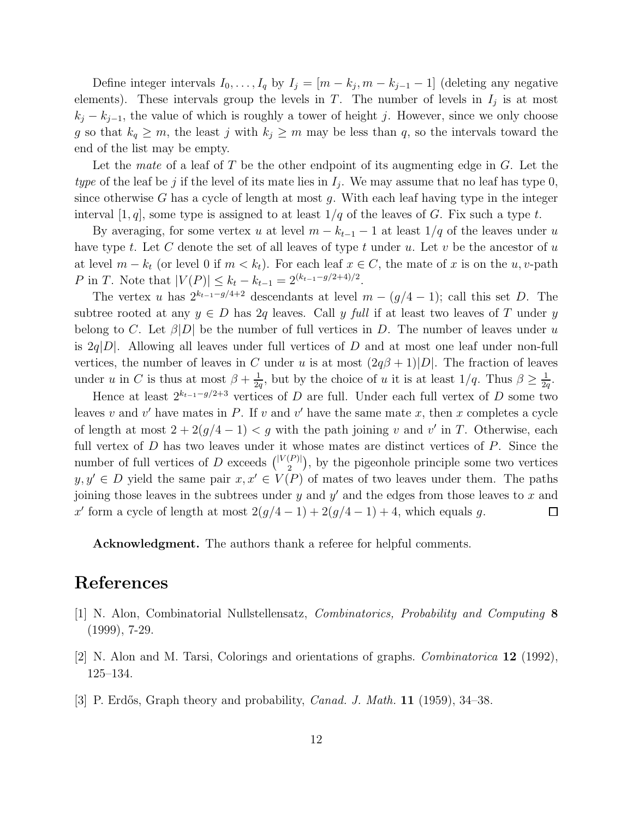Define integer intervals  $I_0, \ldots, I_q$  by  $I_j = [m - k_j, m - k_{j-1} - 1]$  (deleting any negative elements). These intervals group the levels in T. The number of levels in  $I_j$  is at most  $k_j - k_{j-1}$ , the value of which is roughly a tower of height j. However, since we only choose g so that  $k_q \geq m$ , the least j with  $k_j \geq m$  may be less than q, so the intervals toward the end of the list may be empty.

Let the mate of a leaf of T be the other endpoint of its augmenting edge in  $G$ . Let the type of the leaf be j if the level of its mate lies in  $I_j$ . We may assume that no leaf has type 0, since otherwise G has a cycle of length at most g. With each leaf having type in the integer interval [1, q], some type is assigned to at least  $1/q$  of the leaves of G. Fix such a type t.

By averaging, for some vertex u at level  $m - k_{t-1} - 1$  at least  $1/q$  of the leaves under u have type  $t$ . Let  $C$  denote the set of all leaves of type  $t$  under  $u$ . Let  $v$  be the ancestor of  $u$ at level  $m - k_t$  (or level 0 if  $m < k_t$ ). For each leaf  $x \in C$ , the mate of x is on the u, v-path P in T. Note that  $|V(P)| \leq k_t - k_{t-1} = 2^{(k_{t-1}-g/2+4)/2}$ .

The vertex u has  $2^{k_{t-1}-g/4+2}$  descendants at level  $m-(g/4-1)$ ; call this set D. The subtree rooted at any  $y \in D$  has 2q leaves. Call y full if at least two leaves of T under y belong to C. Let  $\beta|D|$  be the number of full vertices in D. The number of leaves under u is  $2q|D|$ . Allowing all leaves under full vertices of D and at most one leaf under non-full vertices, the number of leaves in C under u is at most  $(2q\beta + 1)|D|$ . The fraction of leaves under u in C is thus at most  $\beta + \frac{1}{2}$  $\frac{1}{2q}$ , but by the choice of u it is at least  $1/q$ . Thus  $\beta \geq \frac{1}{2q}$  $\frac{1}{2q}$ .

Hence at least  $2^{k_{t-1}-g/2+3}$  vertices of D are full. Under each full vertex of D some two leaves v and v' have mates in P. If v and v' have the same mate x, then x completes a cycle of length at most  $2 + 2(g/4 - 1) < g$  with the path joining v and v' in T. Otherwise, each full vertex of  $D$  has two leaves under it whose mates are distinct vertices of  $P$ . Since the number of full vertices of D exceeds  $\binom{|V(P)|}{2}$  $\binom{[P]}{2}$ , by the pigeonhole principle some two vertices  $y, y' \in D$  yield the same pair  $x, x' \in V(P)$  of mates of two leaves under them. The paths joining those leaves in the subtrees under  $y$  and  $y'$  and the edges from those leaves to  $x$  and x' form a cycle of length at most  $2(g/4-1) + 2(g/4-1) + 4$ , which equals g.  $\Box$ 

Acknowledgment. The authors thank a referee for helpful comments.

### References

- [1] N. Alon, Combinatorial Nullstellensatz, Combinatorics, Probability and Computing 8 (1999), 7-29.
- [2] N. Alon and M. Tarsi, Colorings and orientations of graphs. Combinatorica 12 (1992), 125–134.
- [3] P. Erdős, Graph theory and probability, *Canad. J. Math.* **11** (1959),  $34-38$ .